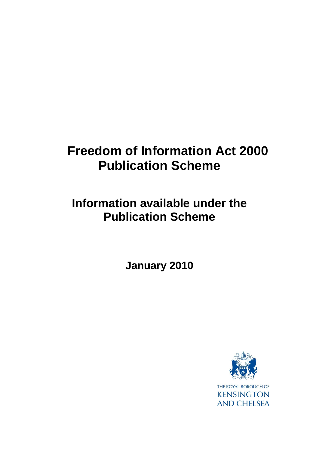# **Freedom of Information Act 2000 Publication Scheme**

## **Information available under the Publication Scheme**

**January 2010**

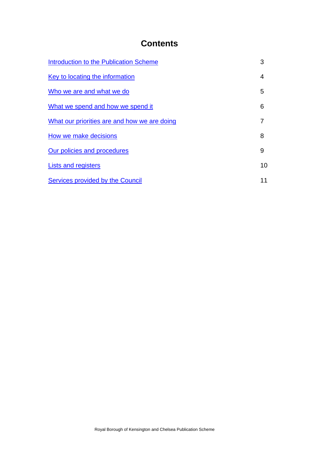## **Contents**

| Introduction to the Publication Scheme       | 3  |
|----------------------------------------------|----|
| Key to locating the information              | 4  |
| Who we are and what we do                    | 5  |
| What we spend and how we spend it            | 6  |
| What our priorities are and how we are doing |    |
| How we make decisions                        | 8  |
| Our policies and procedures                  | 9  |
| Lists and registers                          | 10 |
| Services provided by the Council             | 11 |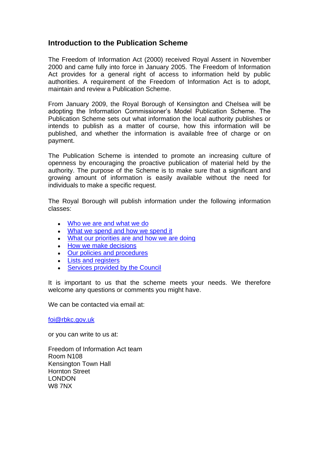#### <span id="page-2-0"></span>**Introduction to the Publication Scheme**

The Freedom of Information Act (2000) received Royal Assent in November 2000 and came fully into force in January 2005. The Freedom of Information Act provides for a general right of access to information held by public authorities. A requirement of the Freedom of Information Act is to adopt, maintain and review a Publication Scheme.

From January 2009, the Royal Borough of Kensington and Chelsea will be adopting the Information Commissioner's Model Publication Scheme. The Publication Scheme sets out what information the local authority publishes or intends to publish as a matter of course, how this information will be published, and whether the information is available free of charge or on payment.

The Publication Scheme is intended to promote an increasing culture of openness by encouraging the proactive publication of material held by the authority. The purpose of the Scheme is to make sure that a significant and growing amount of information is easily available without the need for individuals to make a specific request.

The Royal Borough will publish information under the following information classes:

- [Who we are and what we do](#page-4-0)
- [What we spend and how we spend it](#page-5-0)
- [What our priorities are and how we are doing](#page-6-0)
- [How we make decisions](#page-7-0)
- [Our policies and procedures](#page-8-0)
- **[Lists and registers](#page-9-0)**
- [Services provided by the Council](#page-10-0)

It is important to us that the scheme meets your needs. We therefore welcome any questions or comments you might have.

We can be contacted via email at:

[foi@rbkc.gov.uk](mailto:foi@rbkc.gov.uk)

or you can write to us at:

Freedom of Information Act team Room N108 Kensington Town Hall Hornton Street LONDON W8 7NX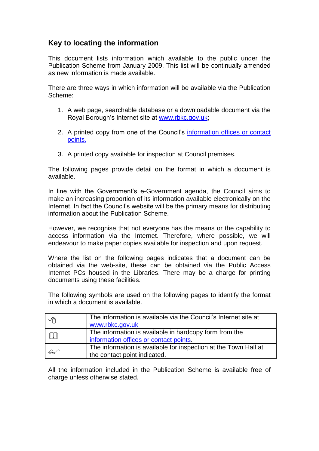#### <span id="page-3-0"></span>**Key to locating the information**

This document lists information which available to the public under the Publication Scheme from January 2009. This list will be continually amended as new information is made available.

There are three ways in which information will be available via the Publication Scheme:

- 1. A web page, searchable database or a downloadable document via the Royal Borough's Internet site at [www.rbkc.gov.uk;](http://www.rbkc.gov.uk/)
- 2. A printed copy from one of the Council's [information offices or contact](http://www.rbkc.gov.uk/yourcouncil/freedomofinformation/councilinfo.asp)  [points.](http://www.rbkc.gov.uk/yourcouncil/freedomofinformation/councilinfo.asp)
- 3. A printed copy available for inspection at Council premises.

The following pages provide detail on the format in which a document is available.

In line with the Government's e-Government agenda, the Council aims to make an increasing proportion of its information available electronically on the Internet. In fact the Council's website will be the primary means for distributing information about the Publication Scheme.

However, we recognise that not everyone has the means or the capability to access information via the Internet. Therefore, where possible, we will endeavour to make paper copies available for inspection and upon request.

Where the list on the following pages indicates that a document can be obtained via the web-site, these can be obtained via the Public Access Internet PCs housed in the Libraries. There may be a charge for printing documents using these facilities.

The following symbols are used on the following pages to identify the format in which a document is available.

| ∽             | The information is available via the Council's Internet site at<br>www.rbkc.gov.uk               |
|---------------|--------------------------------------------------------------------------------------------------|
| $\mathbb{L}$  | The information is available in hardcopy form from the<br>information offices or contact points. |
| $\mathscr{L}$ | The information is available for inspection at the Town Hall at<br>the contact point indicated.  |

All the information included in the Publication Scheme is available free of charge unless otherwise stated.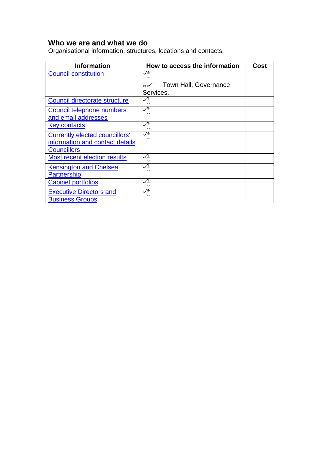### <span id="page-4-0"></span>**Who we are and what we do**

Organisational information, structures, locations and contacts.

| <b>Information</b>                    | How to access the information          | Cost |
|---------------------------------------|----------------------------------------|------|
| <b>Council constitution</b>           | 小                                      |      |
|                                       | Town Hall, Governance<br>$\mathcal{A}$ |      |
|                                       | Services.                              |      |
| Council directorate structure         | ✓À                                     |      |
| Council telephone numbers             | ∽                                      |      |
| and email addresses                   |                                        |      |
| <b>Key contacts</b>                   | ∽                                      |      |
| <b>Currently elected councillors'</b> | 个                                      |      |
| information and contact details       |                                        |      |
| <b>Councillors</b>                    |                                        |      |
| Most recent election results          | ∽                                      |      |
| <b>Kensington and Chelsea</b>         | ∽                                      |      |
| <b>Partnership</b>                    |                                        |      |
| <b>Cabinet portfolios</b>             | 「一                                     |      |
| <b>Executive Directors and</b>        | ∽                                      |      |
| <b>Business Groups</b>                |                                        |      |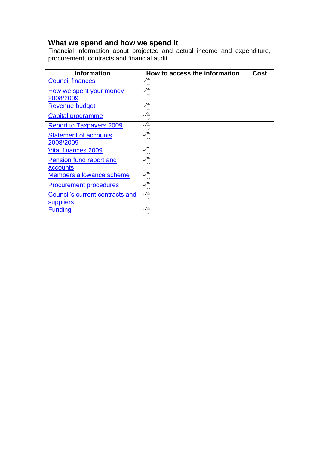#### <span id="page-5-0"></span>**What we spend and how we spend it**

Financial information about projected and actual income and expenditure, procurement, contracts and financial audit.

| <b>Information</b>                           | How to access the information | Cost |
|----------------------------------------------|-------------------------------|------|
| <b>Council finances</b>                      | ∽⊕                            |      |
| How we spent your money<br>2008/2009         | ∽                             |      |
| <b>Revenue budget</b>                        | $\sqrt{p}$                    |      |
| Capital programme                            | ∽                             |      |
| <b>Report to Taxpayers 2009</b>              | ∽                             |      |
| <b>Statement of accounts</b><br>2008/2009    | 个                             |      |
| <b>Vital finances 2009</b>                   | ∽                             |      |
| <b>Pension fund report and</b><br>accounts   | ∽                             |      |
| Members allowance scheme                     | ∽                             |      |
| <b>Procurement procedures</b>                | 「个                            |      |
| Council's current contracts and<br>suppliers | ∽                             |      |
| <b>Funding</b>                               | ✓ٰ∄                           |      |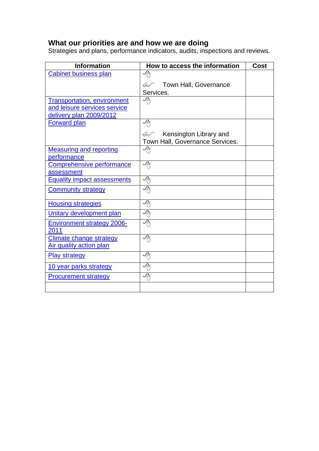#### <span id="page-6-0"></span>**What our priorities are and how we are doing**

Strategies and plans, performance indicators, audits, inspections and reviews.

| <b>Information</b>                        | How to access the information           | <b>Cost</b> |
|-------------------------------------------|-----------------------------------------|-------------|
| <b>Cabinet business plan</b>              | ∽⊕                                      |             |
|                                           | Town Hall, Governance<br>₩              |             |
|                                           | Services.                               |             |
| <b>Transportation, environment</b>        | ∽⊕                                      |             |
| and leisure services service              |                                         |             |
| delivery plan 2009/2012                   |                                         |             |
| <b>Forward plan</b>                       | ∽                                       |             |
|                                           | Kensington Library and<br>$\mathscr{A}$ |             |
|                                           | Town Hall, Governance Services.         |             |
| <b>Measuring and reporting</b>            | 세                                       |             |
| performance                               |                                         |             |
| Comprehensive performance                 | ∽⊕                                      |             |
| assessment                                |                                         |             |
| <b>Equality impact assessments</b>        | 一心                                      |             |
| <b>Community strategy</b>                 | 세                                       |             |
| <b>Housing strategies</b>                 | ∽⊕                                      |             |
| <b>Unitary development plan</b>           | ץ∕                                      |             |
| <b>Environment strategy 2006-</b><br>2011 | 个                                       |             |
| <b>Climate change strategy</b>            | 세                                       |             |
| <b>Air quality action plan</b>            |                                         |             |
| <b>Play strategy</b>                      | ≁                                       |             |
| 10 year parks strategy                    | ∽                                       |             |
| <b>Procurement strategy</b>               | ∽                                       |             |
|                                           |                                         |             |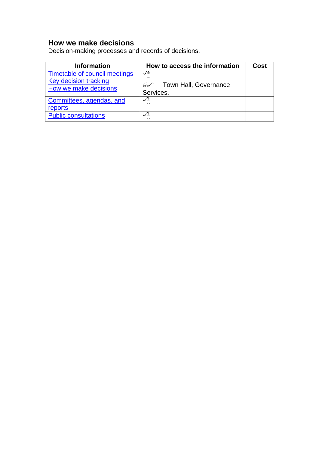## <span id="page-7-0"></span>**How we make decisions**

Decision-making processes and records of decisions.

| <b>Information</b>                                    | How to access the information | <b>Cost</b> |
|-------------------------------------------------------|-------------------------------|-------------|
| Timetable of council meetings                         | ∽                             |             |
| <b>Key decision tracking</b><br>How we make decisions | 6 Covernance<br>Services.     |             |
| Committees, agendas, and<br>reports                   | ∽                             |             |
| <b>Public consultations</b>                           | ✓д                            |             |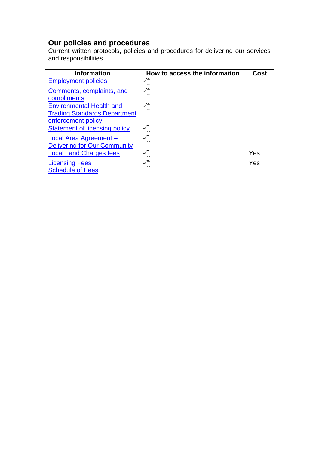#### <span id="page-8-0"></span>**Our policies and procedures**

Current written protocols, policies and procedures for delivering our services and responsibilities.

| <b>Information</b>                   | How to access the information | Cost |
|--------------------------------------|-------------------------------|------|
| <b>Employment policies</b>           | ノ中                            |      |
| Comments, complaints, and            | ∽                             |      |
| compliments                          |                               |      |
| <b>Environmental Health and</b>      | ∽                             |      |
| <b>Trading Standards Department</b>  |                               |      |
| enforcement policy                   |                               |      |
| <b>Statement of licensing policy</b> | ∽                             |      |
| <b>Local Area Agreement -</b>        | ∽                             |      |
| <b>Delivering for Our Community</b>  |                               |      |
| <b>Local Land Charges fees</b>       | ∽                             | Yes  |
| <b>Licensing Fees</b>                | ∽                             | Yes  |
| <b>Schedule of Fees</b>              |                               |      |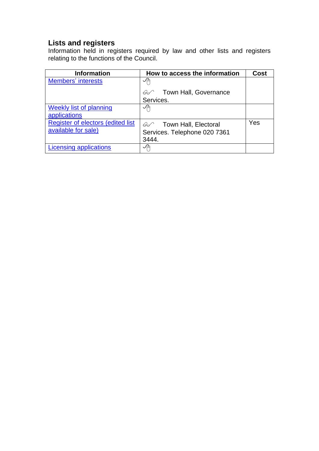#### <span id="page-9-0"></span>**Lists and registers**

Information held in registers required by law and other lists and registers relating to the functions of the Council.

| <b>Information</b>                | How to access the information          | <b>Cost</b> |
|-----------------------------------|----------------------------------------|-------------|
| <b>Members' interests</b>         | ∽                                      |             |
|                                   | Town Hall, Governance<br>$\mathscr{L}$ |             |
|                                   | Services.                              |             |
| <b>Weekly list of planning</b>    | ∽                                      |             |
| applications                      |                                        |             |
| Register of electors (edited list | Go Town Hall, Electoral                | Yes         |
| available for sale)               | Services. Telephone 020 7361           |             |
|                                   | 3444.                                  |             |
| <b>Licensing applications</b>     | ✓扁                                     |             |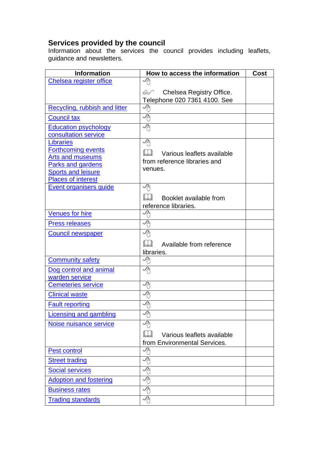#### <span id="page-10-0"></span>**Services provided by the council**

Information about the services the council provides including leaflets, guidance and newsletters.

| <b>Information</b>                            | How to access the information | Cost |
|-----------------------------------------------|-------------------------------|------|
| Chelsea register office                       | ץ∕                            |      |
|                                               | Chelsea Registry Office.<br>  |      |
|                                               | Telephone 020 7361 4100. See  |      |
| Recycling, rubbish and litter                 | ≁                             |      |
| <b>Council tax</b>                            | ץ∕                            |      |
| <b>Education psychology</b>                   | ∽                             |      |
| consultation service                          |                               |      |
| <b>Libraries</b><br><b>Forthcoming events</b> | ∽⊕                            |      |
| <b>Arts and museums</b>                       | Various leaflets available    |      |
| Parks and gardens                             | from reference libraries and  |      |
| <b>Sports and leisure</b>                     | venues.                       |      |
| <b>Places of interest</b>                     |                               |      |
| <u>Event organisers guide</u>                 | −⊕                            |      |
|                                               | Booklet available from        |      |
|                                               | reference libraries.          |      |
| <b>Venues for hire</b>                        | ץ∕                            |      |
| <b>Press releases</b>                         | ץ∕                            |      |
| <b>Council newspaper</b>                      | ץ∕                            |      |
|                                               | Available from reference      |      |
|                                               | libraries.                    |      |
| <b>Community safety</b>                       | ≁                             |      |
| Dog control and animal<br>warden service      | ∽⊕                            |      |
| <b>Cemeteries service</b>                     | ץ∕                            |      |
| <b>Clinical waste</b>                         | ∽⊕                            |      |
| <b>Fault reporting</b>                        | ∽⊕                            |      |
| Licensing and gambling                        | ≁⊕                            |      |
| Noise nuisance service                        | ≁                             |      |
|                                               | Various leaflets available    |      |
|                                               | from Environmental Services.  |      |
| <b>Pest control</b>                           | 一心                            |      |
| <b>Street trading</b>                         | 쎤                             |      |
| <b>Social services</b>                        | 一心                            |      |
| <b>Adoption and fostering</b>                 | ∽⊕                            |      |
| <b>Business rates</b>                         | ∽⊕                            |      |
| <b>Trading standards</b>                      | ∽⊕                            |      |